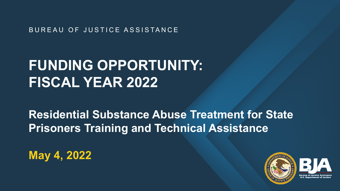BUREAU OF JUSTICE ASSISTANCE

# **FUNDING OPPORTUNITY: FISCAL YEAR 2022**

**Residential Substance Abuse Treatment for State Prisoners Training and Technical Assistance** 

**May 4, 2022** 

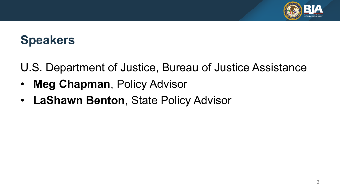

## **Speakers**

U.S. Department of Justice, Bureau of Justice Assistance

- **Meg Chapman**, Policy Advisor
- **LaShawn Benton**, State Policy Advisor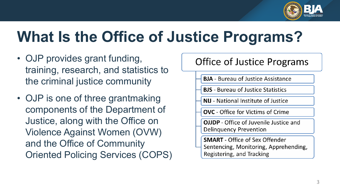

# **What Is the Office of Justice Programs?**

- • OJP provides grant funding, training, research, and statistics to the criminal justice community
- • OJP is one of three grantmaking components of the Department of Justice, along with the Office on Violence Against Women (OVW) and the Office of Community Oriented Policing Services (COPS)

### **Office of Justice Programs**

- **BJA** Bureau of Justice Assistance
- **BJS** Bureau of Justice Statistics
- **NIJ** National Institute of Justice
- **OVC** Office for Victims of Crime
- **OJJDP** Office of Juvenile Justice and **Delinquency Prevention**
- **SMART** Office of Sex Offender Sentencing, Monitoring, Apprehending, Registering, and Tracking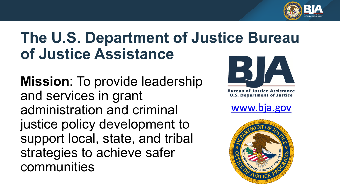

# **The U.S. Department of Justice Bureau of Justice Assistance**

**Mission**: To provide leadership and services in grant administration and criminal justice policy development to support local, state, and tribal strategies to achieve safer communities



ureau of Justice Assistance **U.S. Department of Justice** 

www.bja.gov

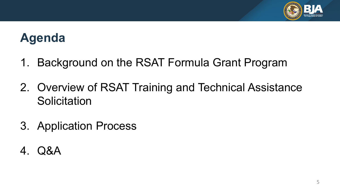

## **Agenda**

- 1. Background on the RSAT Formula Grant Program
- Solicitation 2. Overview of RSAT Training and Technical Assistance
- 3. Application Process
- 4. Q&A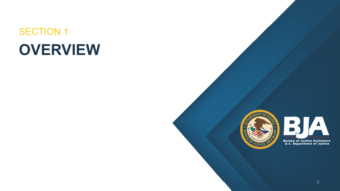# SECTION 1 **OVERVIEW**



BJA **Bureau of Justice Assistance<br>U.S. Department of Justice**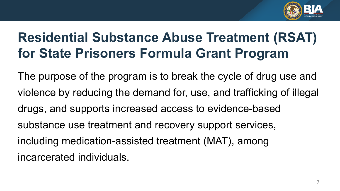

## **Residential Substance Abuse Treatment (RSAT) for State Prisoners Formula Grant Program**

 The purpose of the program is to break the cycle of drug use and violence by reducing the demand for, use, and trafficking of illegal drugs, and supports increased access to evidence-based substance use treatment and recovery support services, including medication-assisted treatment (MAT), among incarcerated individuals.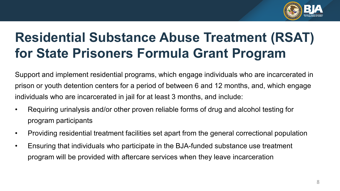

## **Residential Substance Abuse Treatment (RSAT) for State Prisoners Formula Grant Program**

 prison or youth detention centers for a period of between 6 and 12 months, and, which engage individuals who are incarcerated in jail for at least 3 months, and include: Support and implement residential programs, which engage individuals who are incarcerated in

- • Requiring urinalysis and/or other proven reliable forms of drug and alcohol testing for program participants
- Providing residential treatment facilities set apart from the general correctional population
- program will be provided with aftercare services when they leave incarceration • Ensuring that individuals who participate in the BJA-funded substance use treatment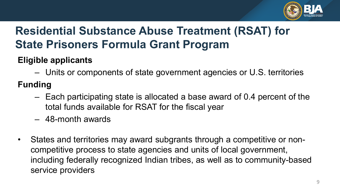

### **Residential Substance Abuse Treatment (RSAT) for State Prisoners Formula Grant Program**

### **Eligible applicants**

– Units or components of state government agencies or U.S. territories

### **Funding**

- – Each participating state is allocated a base award of 0.4 percent of the total funds available for RSAT for the fiscal year
- 48-month awards
- • States and territories may award subgrants through a competitive or noncompetitive process to state agencies and units of local government, including federally recognized Indian tribes, as well as to community-based service providers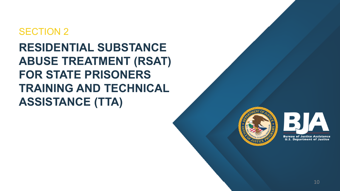### SECTION 2

**RESIDENTIAL SUBSTANCE ABUSE TREATMENT (RSAT) FOR STATE PRISONERS TRAINING AND TECHNICAL ASSISTANCE (TTA)** 



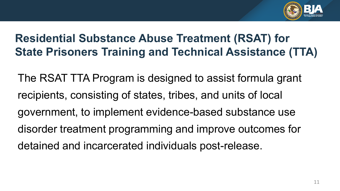

 The RSAT TTA Program is designed to assist formula grant recipients, consisting of states, tribes, and units of local disorder treatment programming and improve outcomes for detained and incarcerated individuals post-release. government, to implement evidence-based substance use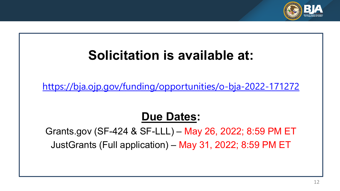

## **Solicitation is available at:**

<https://bja.ojp.gov/funding/opportunities/o-bja-2022-171272>

### **Due Dates:**

 [Grants.gov](https://Grants.gov) (SF-424 & SF-LLL) – May 26, 2022; 8:59 PM ET JustGrants (Full application) – May 31, 2022; 8:59 PM ET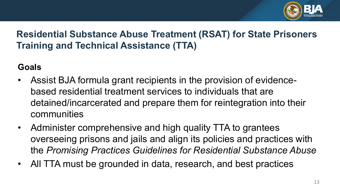

#### **Goals**

- • Assist BJA formula grant recipients in the provision of evidence- based residential treatment services to individuals that are detained/incarcerated and prepare them for reintegration into their communities
- • Administer comprehensive and high quality TTA to grantees overseeing prisons and jails and align its policies and practices with  the *Promising Practices Guidelines for Residential Substance Abuse*
- All TTA must be grounded in data, research, and best practices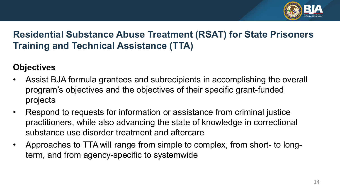

#### **Objectives**

- program's objectives and the objectives of their specific grant-funded • Assist BJA formula grantees and subrecipients in accomplishing the overall projects
- Respond to requests for information or assistance from criminal justice practitioners, while also advancing the state of knowledge in correctional substance use disorder treatment and aftercare
- • Approaches to TTA will range from simple to complex, from short- to long-term, and from agency-specific to systemwide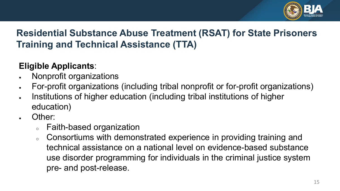

#### **Eligible Applicants**:

- Nonprofit organizations
- For-profit organizations (including tribal nonprofit or for-profit organizations)
- • Institutions of higher education (including tribal institutions of higher education)
- Other:
	- <sup>o</sup> Faith-based organization
	- use disorder programming for individuals in the criminal justice system o Consortiums with demonstrated experience in providing training and technical assistance on a national level on evidence-based substance pre- and post-release.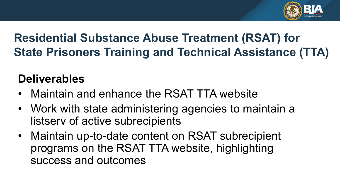

### **Deliverables**

- Maintain and enhance the RSAT TTA website
- Work with state administering agencies to maintain a listserv of active subrecipients
- programs on the RSAT TTA website, highlighting • Maintain up-to-date content on RSAT subrecipient success and outcomes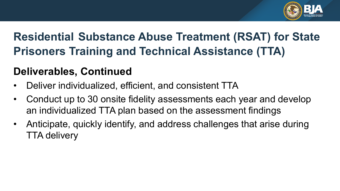

### **Deliverables, Continued**

- Deliver individualized, efficient, and consistent TTA
- • Conduct up to 30 onsite fidelity assessments each year and develop an individualized TTA plan based on the assessment findings
- • Anticipate, quickly identify, and address challenges that arise during TTA delivery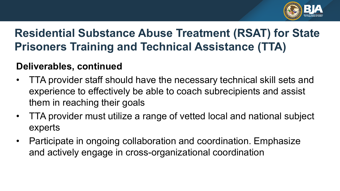

### **Deliverables, continued**

- • TTA provider staff should have the necessary technical skill sets and experience to effectively be able to coach subrecipients and assist them in reaching their goals
- • TTA provider must utilize a range of vetted local and national subject experts
- Participate in ongoing collaboration and coordination. Emphasize and actively engage in cross-organizational coordination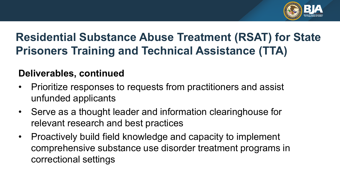

### **Deliverables, continued**

- • Prioritize responses to requests from practitioners and assist unfunded applicants
- • Serve as a thought leader and information clearinghouse for relevant research and best practices
- comprehensive substance use disorder treatment programs in • Proactively build field knowledge and capacity to implement correctional settings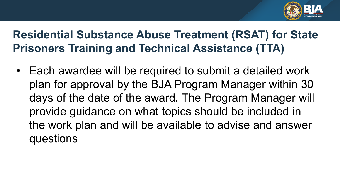

 plan for approval by the BJA Program Manager within 30 days of the date of the award. The Program Manager will • Each awardee will be required to submit a detailed work provide guidance on what topics should be included in the work plan and will be available to advise and answer questions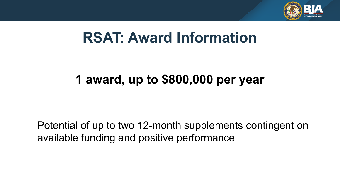

# **RSAT: Award Information**

## **1 award, up to \$800,000 per year**

Potential of up to two 12-month supplements contingent on available funding and positive performance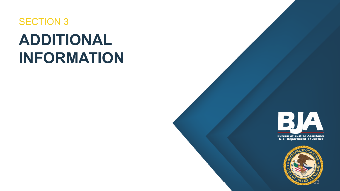# **ADDITIONAL**  SECTION 3 **INFORMATION**





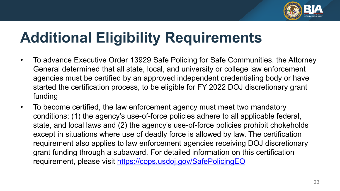

# **Additional Eligibility Requirements**

- agencies must be certified by an approved independent credentialing body or have started the certification process, to be eligible for FY 2022 DOJ discretionary grant • To advance Executive Order 13929 Safe Policing for Safe Communities, the Attorney General determined that all state, local, and university or college law enforcement funding
- state, and local laws and (2) the agency's use-of-force policies prohibit chokeholds except in situations where use of deadly force is allowed by law. The certification • To become certified, the law enforcement agency must meet two mandatory conditions: (1) the agency's use-of-force policies adhere to all applicable federal, requirement also applies to law enforcement agencies receiving DOJ discretionary grant funding through a subaward. For detailed information on this certification requirement, please visit<https://cops.usdoj.gov/SafePolicingEO>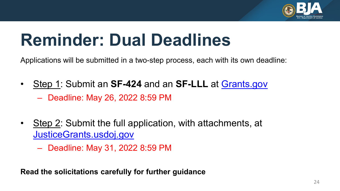

# **Reminder: Dual Deadlines**

Applications will be submitted in a two-step process, each with its own deadline:

- • Step 1: Submit an **SF-424** and an **SF-LLL** at [Grants.gov](https://www.grants.gov/)  – Deadline: May 26, 2022 8:59 PM
- Step 2: Submit the full application, with attachments, at [JusticeGrants.usdoj.gov](https://justicegrants.usdoj.gov/) 
	- Deadline: May 31, 2022 8:59 PM

**Read the solicitations carefully for further guidance**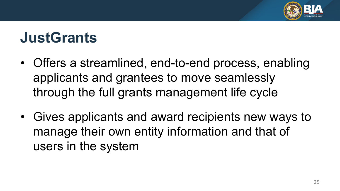

# **JustGrants**

- Offers a streamlined, end-to-end process, enabling applicants and grantees to move seamlessly through the full grants management life cycle
- manage their own entity information and that of • Gives applicants and award recipients new ways to users in the system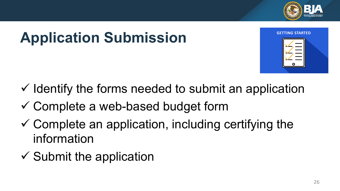

# **Application Submission**



- $\checkmark$  Identify the forms needed to submit an application
- $\checkmark$  Complete a web-based budget form
- $\checkmark$  Complete an application, including certifying the information
- $\checkmark$  Submit the application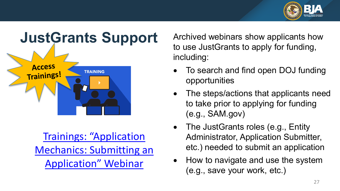



Trainings: "Application [Mechanics: Submitting an](https://protect2.fireeye.com/v1/url?k=116ad70c-4ef1ee5d-116df3e9-ac1f6b01770e-dba15bb0d474bda8&q=1&e=9ba939fd-1f00-4b58-a28c-b54f9e21fba7&u=https%3A%2F%2Flnks.gd%2Fl%2FeyJhbGciOiJIUzI1NiJ9.eyJidWxsZXRpbl9saW5rX2lkIjoxMDQsInVyaSI6ImJwMjpjbGljayIsImJ1bGxldGluX2lkIjoiMjAyMTAyMDguMzQ4NDQ3ODEiLCJ1cmwiOiJodHRwczovL2p1c3RpY2VncmFudHMudXNkb2ouZ292L3RyYWluaW5nLXJlc291cmNlcy9qdXN0Z3JhbnRzLXRyYWluaW5nL2FwcGxpY2F0aW9uLXN1Ym1pc3Npb24jYXBwbG4tbWVjaGFuaWNzIn0.IQJo0GUnci2gJnU1eCq-Bbslmvv5mkjv9pBaASs2VgQ%2Fs%2F819319539%2Fbr%2F97220799124-l) Application" Webinar

 Archived webinars show applicants how to use JustGrants to apply for funding, including:

- To search and find open DOJ funding opportunities
- • The steps/actions that applicants need to take prior to applying for funding (e.g., SAM.gov)
- The JustGrants roles (e.g., Entity Administrator, Application Submitter, etc.) needed to submit an application
- (e.g., save your work, etc.) • How to navigate and use the system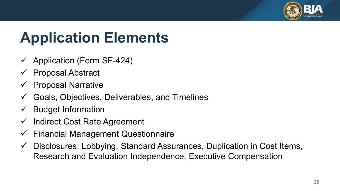

# **Application Elements**

- $\checkmark$  Application (Form SF-424)
- $\checkmark$  Proposal Abstract
- $\checkmark$  Proposal Narrative
- $\checkmark$  Goals, Objectives, Deliverables, and Timelines
- $\checkmark$  Budget Information
- $\checkmark$  Indirect Cost Rate Agreement
- $\checkmark$  Financial Management Questionnaire
- $\checkmark$  Disclosures: Lobbying, Standard Assurances, Duplication in Cost Items, Research and Evaluation Independence, Executive Compensation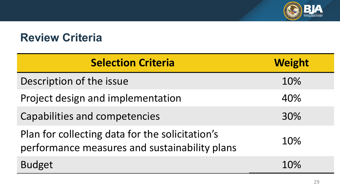

### **Review Criteria**

| <b>Selection Criteria</b>                                                                        | <b>Weight</b> |
|--------------------------------------------------------------------------------------------------|---------------|
| Description of the issue                                                                         | 10%           |
| Project design and implementation                                                                | 40%           |
| <b>Capabilities and competencies</b>                                                             | 30%           |
| Plan for collecting data for the solicitation's<br>performance measures and sustainability plans | 10%           |
| <b>Budget</b>                                                                                    | 10%           |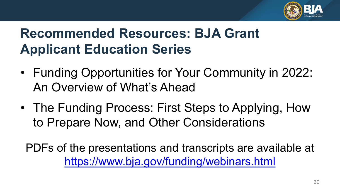

# **Recommended Resources: BJA Grant Applicant Education Series**

- • Funding Opportunities for Your Community in 2022: An Overview of What's Ahead
- • The Funding Process: First Steps to Applying, How to Prepare Now, and Other Considerations

PDFs of the presentations and transcripts are available at <https://www.bja.gov/funding/webinars.html>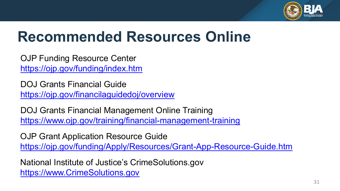

# **Recommended Resources Online**

OJP Funding Resource Center <https://ojp.gov/funding/index.htm>

 DOJ Grants Financial Guide <https://ojp.gov/financilaguidedoj/overview>

 DOJ Grants Financial Management Online Training <https://www.ojp.gov/training/financial-management-training>

OJP Grant Application Resource Guide <https://ojp.gov/funding/Apply/Resources/Grant-App-Resource-Guide.htm>

 National Institute of Justice's [CrimeSolutions.gov](https://CrimeSolutions.gov) [https://www.CrimeSolutions.gov](https://www.crimesolutions.gov/)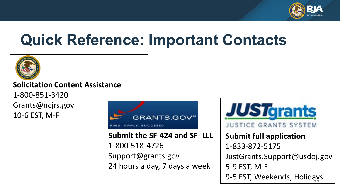

# **Quick Reference: Important Contacts**

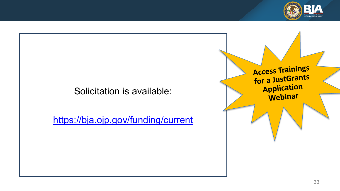

### Solicitation is available:

<https://bja.ojp.gov/funding/current>